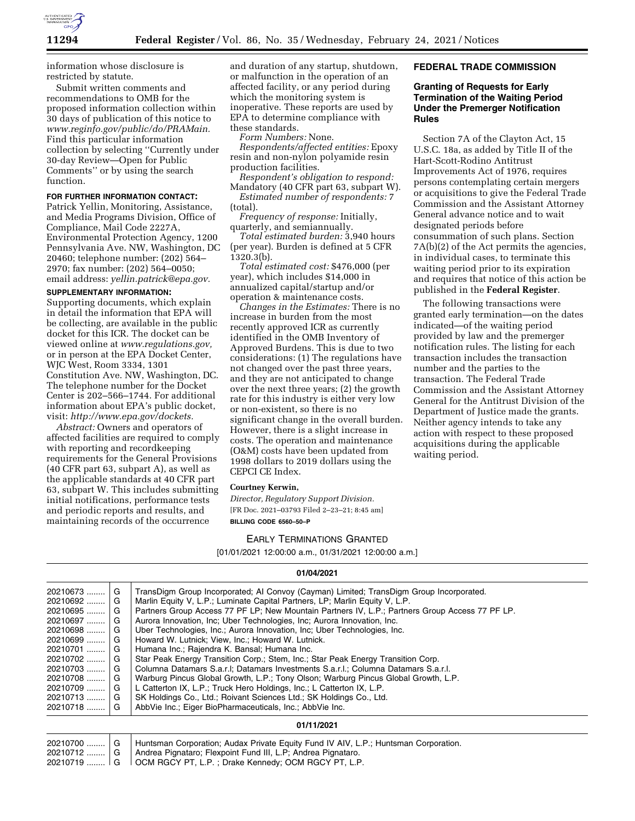

information whose disclosure is restricted by statute.

Submit written comments and recommendations to OMB for the proposed information collection within 30 days of publication of this notice to *[www.reginfo.gov/public/do/PRAMain.](http://www.reginfo.gov/public/do/PRAMain)*  Find this particular information collection by selecting ''Currently under 30-day Review—Open for Public Comments'' or by using the search function.

#### **FOR FURTHER INFORMATION CONTACT:**

Patrick Yellin, Monitoring, Assistance, and Media Programs Division, Office of Compliance, Mail Code 2227A, Environmental Protection Agency, 1200 Pennsylvania Ave. NW, Washington, DC 20460; telephone number: (202) 564– 2970; fax number: (202) 564–0050; email address: *[yellin.patrick@epa.gov.](mailto:yellin.patrick@epa.gov)* 

### **SUPPLEMENTARY INFORMATION:**

Supporting documents, which explain in detail the information that EPA will be collecting, are available in the public docket for this ICR. The docket can be viewed online at *[www.regulations.gov,](http://www.regulations.gov)*  or in person at the EPA Docket Center, WJC West, Room 3334, 1301 Constitution Ave. NW, Washington, DC. The telephone number for the Docket Center is 202–566–1744. For additional information about EPA's public docket, visit: *[http://www.epa.gov/dockets.](http://www.epa.gov/dockets)* 

*Abstract:* Owners and operators of affected facilities are required to comply with reporting and recordkeeping requirements for the General Provisions (40 CFR part 63, subpart A), as well as the applicable standards at 40 CFR part 63, subpart W. This includes submitting initial notifications, performance tests and periodic reports and results, and maintaining records of the occurrence

and duration of any startup, shutdown, or malfunction in the operation of an affected facility, or any period during which the monitoring system is inoperative. These reports are used by EPA to determine compliance with these standards.

*Form Numbers:* None.

*Respondents/affected entities:* Epoxy resin and non-nylon polyamide resin production facilities.

*Respondent's obligation to respond:*  Mandatory (40 CFR part 63, subpart W).

*Estimated number of respondents:* 7 (total).

*Frequency of response:* Initially, quarterly, and semiannually.

*Total estimated burden:* 3,940 hours (per year). Burden is defined at 5 CFR 1320.3(b).

*Total estimated cost:* \$476,000 (per year), which includes \$14,000 in annualized capital/startup and/or operation & maintenance costs.

*Changes in the Estimates:* There is no increase in burden from the most recently approved ICR as currently identified in the OMB Inventory of Approved Burdens. This is due to two considerations: (1) The regulations have not changed over the past three years, and they are not anticipated to change over the next three years; (2) the growth rate for this industry is either very low or non-existent, so there is no significant change in the overall burden. However, there is a slight increase in costs. The operation and maintenance (O&M) costs have been updated from 1998 dollars to 2019 dollars using the CEPCI CE Index.

#### **Courtney Kerwin,**

*Director, Regulatory Support Division.*  [FR Doc. 2021–03793 Filed 2–23–21; 8:45 am] **BILLING CODE 6560–50–P** 

### EARLY TERMINATIONS GRANTED

[01/01/2021 12:00:00 a.m., 01/31/2021 12:00:00 a.m.]

### **01/04/2021**

| 20210673   | G | TransDigm Group Incorporated; AI Convoy (Cayman) Limited; TransDigm Group Incorporated.         |
|------------|---|-------------------------------------------------------------------------------------------------|
| 20210692   | G | Marlin Equity V, L.P.; Luminate Capital Partners, LP; Marlin Equity V, L.P.                     |
| 20210695   | G | Partners Group Access 77 PF LP; New Mountain Partners IV, L.P.; Partners Group Access 77 PF LP. |
| 20210697   | G | Aurora Innovation, Inc. Uber Technologies, Inc. Aurora Innovation, Inc.                         |
| 20210698   | G | Uber Technologies, Inc.; Aurora Innovation, Inc; Uber Technologies, Inc.                        |
| $20210699$ | G | Howard W. Lutnick; View, Inc.; Howard W. Lutnick.                                               |
| 20210701   | G | Humana Inc.; Rajendra K. Bansal; Humana Inc.                                                    |
| 20210702   | G | Star Peak Energy Transition Corp.; Stem, Inc.; Star Peak Energy Transition Corp.                |
| 20210703   | G | Columna Datamars S.a.r.l; Datamars Investments S.a.r.l.; Columna Datamars S.a.r.l.              |
| 20210708   | G | Warburg Pincus Global Growth, L.P.; Tony Olson; Warburg Pincus Global Growth, L.P.              |
| 20210709   | G | L Catterton IX, L.P.; Truck Hero Holdings, Inc.; L Catterton IX, L.P.                           |
| $20210713$ | G | SK Holdings Co., Ltd.; Roivant Sciences Ltd.; SK Holdings Co., Ltd.                             |
| 20210718   | G | AbbVie Inc.; Eiger BioPharmaceuticals, Inc.; AbbVie Inc.                                        |

#### **01/11/2021**

|  | 20210700  G   Huntsman Corporation; Audax Private Equity Fund IV AIV, L.P.; Huntsman Corporation. |
|--|---------------------------------------------------------------------------------------------------|
|  | 20210712    G   Andrea Pignataro; Flexpoint Fund III, L.P; Andrea Pignataro.                      |
|  | 20210719    G   OCM RGCY PT, L.P. ; Drake Kennedy; OCM RGCY PT, L.P.                              |

# **FEDERAL TRADE COMMISSION**

### **Granting of Requests for Early Termination of the Waiting Period Under the Premerger Notification Rules**

Section 7A of the Clayton Act, 15 U.S.C. 18a, as added by Title II of the Hart-Scott-Rodino Antitrust Improvements Act of 1976, requires persons contemplating certain mergers or acquisitions to give the Federal Trade Commission and the Assistant Attorney General advance notice and to wait designated periods before consummation of such plans. Section 7A(b)(2) of the Act permits the agencies, in individual cases, to terminate this waiting period prior to its expiration and requires that notice of this action be published in the **Federal Register**.

The following transactions were granted early termination—on the dates indicated—of the waiting period provided by law and the premerger notification rules. The listing for each transaction includes the transaction number and the parties to the transaction. The Federal Trade Commission and the Assistant Attorney General for the Antitrust Division of the Department of Justice made the grants. Neither agency intends to take any action with respect to these proposed acquisitions during the applicable waiting period.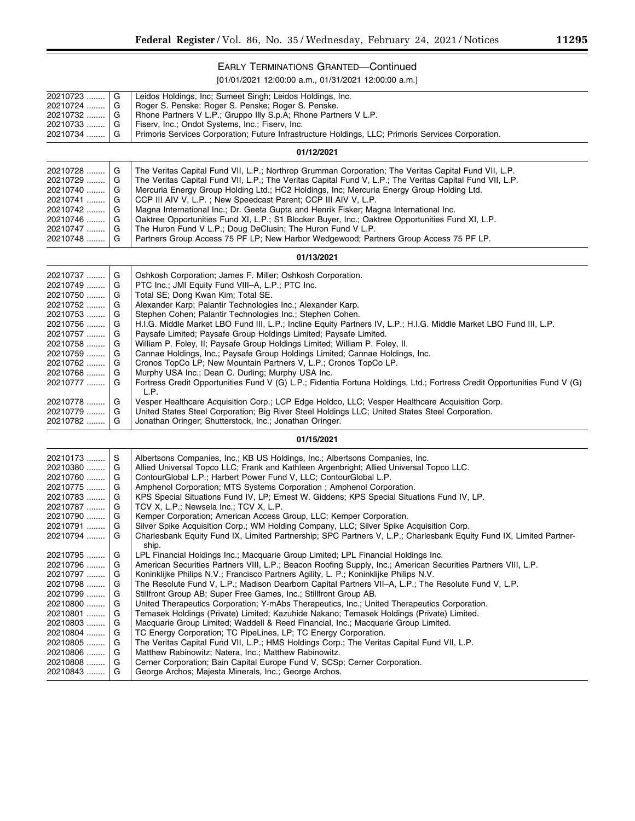▀

# EARLY TERMINATIONS GRANTED—Continued

[01/01/2021 12:00:00 a.m., 01/31/2021 12:00:00 a.m.]

| 20210723<br>20210724<br>20210732<br>20210733<br>20210734                                                                                                                            | G<br>G<br>G<br>G<br>G                                                   | Leidos Holdings, Inc; Sumeet Singh; Leidos Holdings, Inc.<br>Roger S. Penske; Roger S. Penske; Roger S. Penske.<br>Rhone Partners V L.P.; Gruppo Illy S.p.A; Rhone Partners V L.P.<br>Fiserv, Inc.; Ondot Systems, Inc.; Fiserv, Inc.<br>Primoris Services Corporation; Future Infrastructure Holdings, LLC; Primoris Services Corporation.                                                                                                                                                                                                                                                                                                                                                                                                                                                                                                                                                                                                                                                                                                                                                                                                                             |  |  |  |  |
|-------------------------------------------------------------------------------------------------------------------------------------------------------------------------------------|-------------------------------------------------------------------------|-------------------------------------------------------------------------------------------------------------------------------------------------------------------------------------------------------------------------------------------------------------------------------------------------------------------------------------------------------------------------------------------------------------------------------------------------------------------------------------------------------------------------------------------------------------------------------------------------------------------------------------------------------------------------------------------------------------------------------------------------------------------------------------------------------------------------------------------------------------------------------------------------------------------------------------------------------------------------------------------------------------------------------------------------------------------------------------------------------------------------------------------------------------------------|--|--|--|--|
| 01/12/2021                                                                                                                                                                          |                                                                         |                                                                                                                                                                                                                                                                                                                                                                                                                                                                                                                                                                                                                                                                                                                                                                                                                                                                                                                                                                                                                                                                                                                                                                         |  |  |  |  |
| 20210728<br>20210729<br>20210740<br>20210741<br>20210742<br>20210746<br>20210747<br>20210748                                                                                        | G<br>G<br>G<br>G<br>G<br>G<br>G<br>G                                    | The Veritas Capital Fund VII, L.P.; Northrop Grumman Corporation; The Veritas Capital Fund VII, L.P.<br>The Veritas Capital Fund VII, L.P.; The Veritas Capital Fund V, L.P.; The Veritas Capital Fund VII, L.P.<br>Mercuria Energy Group Holding Ltd.; HC2 Holdings, Inc; Mercuria Energy Group Holding Ltd.<br>CCP III AIV V, L.P.; New Speedcast Parent; CCP III AIV V, L.P.<br>Magna International Inc.; Dr. Geeta Gupta and Henrik Fisker; Magna International Inc.<br>Oaktree Opportunities Fund XI, L.P.; S1 Blocker Buyer, Inc.; Oaktree Opportunities Fund XI, L.P.<br>The Huron Fund V L.P.; Doug DeClusin; The Huron Fund V L.P.<br>Partners Group Access 75 PF LP; New Harbor Wedgewood; Partners Group Access 75 PF LP.                                                                                                                                                                                                                                                                                                                                                                                                                                    |  |  |  |  |
| 01/13/2021                                                                                                                                                                          |                                                                         |                                                                                                                                                                                                                                                                                                                                                                                                                                                                                                                                                                                                                                                                                                                                                                                                                                                                                                                                                                                                                                                                                                                                                                         |  |  |  |  |
| 20210737<br>20210749<br>20210750<br>20210752<br>20210753<br>20210756<br>20210757<br>20210758<br>20210759<br>20210762<br>20210768<br>20210777<br>20210778<br>20210779   <br>20210782 | G<br>G<br>G<br>G<br>G<br>G<br>G<br>G<br>G<br>G<br>G<br>G<br>G<br>G<br>G | Oshkosh Corporation; James F. Miller; Oshkosh Corporation.<br>PTC Inc.; JMI Equity Fund VIII-A, L.P.; PTC Inc.<br>Total SE; Dong Kwan Kim; Total SE.<br>Alexander Karp; Palantir Technologies Inc.; Alexander Karp.<br>Stephen Cohen; Palantir Technologies Inc.; Stephen Cohen.<br>H.I.G. Middle Market LBO Fund III, L.P.; Incline Equity Partners IV, L.P.; H.I.G. Middle Market LBO Fund III, L.P.<br>Paysafe Limited; Paysafe Group Holdings Limited; Paysafe Limited.<br>William P. Foley, II; Paysafe Group Holdings Limited; William P. Foley, II.<br>Cannae Holdings, Inc.; Paysafe Group Holdings Limited; Cannae Holdings, Inc.<br>Cronos TopCo LP; New Mountain Partners V, L.P.; Cronos TopCo LP.<br>Murphy USA Inc.; Dean C. Durling; Murphy USA Inc.<br>Fortress Credit Opportunities Fund V (G) L.P.; Fidentia Fortuna Holdings, Ltd.; Fortress Credit Opportunities Fund V (G)<br>L.P.<br>Vesper Healthcare Acquisition Corp.; LCP Edge Holdco, LLC; Vesper Healthcare Acquisition Corp.<br>United States Steel Corporation; Big River Steel Holdings LLC; United States Steel Corporation.<br>Jonathan Oringer; Shutterstock, Inc.; Jonathan Oringer. |  |  |  |  |
|                                                                                                                                                                                     |                                                                         | 01/15/2021                                                                                                                                                                                                                                                                                                                                                                                                                                                                                                                                                                                                                                                                                                                                                                                                                                                                                                                                                                                                                                                                                                                                                              |  |  |  |  |
| 20210173<br>20210380<br>20210760<br>20210775<br>20210783<br>20210787<br>20210790<br>20210791<br>20210794                                                                            | S<br>G<br>G<br>G<br>G<br>G<br>G<br>G<br>G                               | Albertsons Companies, Inc.; KB US Holdings, Inc.; Albertsons Companies, Inc.<br>Allied Universal Topco LLC; Frank and Kathleen Argenbright; Allied Universal Topco LLC.<br>ContourGlobal L.P.; Harbert Power Fund V, LLC; ContourGlobal L.P.<br>Amphenol Corporation; MTS Systems Corporation ; Amphenol Corporation.<br>KPS Special Situations Fund IV, LP; Ernest W. Giddens; KPS Special Situations Fund IV, LP.<br>TCV X, L.P.; Newsela Inc.; TCV X, L.P.<br>Kemper Corporation; American Access Group, LLC; Kemper Corporation.<br>Silver Spike Acquisition Corp.; WM Holding Company, LLC; Silver Spike Acquisition Corp.<br>Charlesbank Equity Fund IX, Limited Partnership; SPC Partners V, L.P.; Charlesbank Equity Fund IX, Limited Partner-<br>ship.                                                                                                                                                                                                                                                                                                                                                                                                         |  |  |  |  |
| 20210795<br>20210796<br>20210797<br>20210798   <br>20210799<br>20210800<br>20210801<br>20210803<br>20210804   <br>20210805<br>20210806<br>20210808<br>20210843                      | G<br>G<br>G<br>G<br>G<br>G<br>G<br>G<br>G<br>G<br>G<br>G<br>G           | LPL Financial Holdings Inc.; Macquarie Group Limited; LPL Financial Holdings Inc.<br>American Securities Partners VIII, L.P.; Beacon Roofing Supply, Inc.; American Securities Partners VIII, L.P.<br>Koninklijke Philips N.V.; Francisco Partners Agility, L. P.; Koninklijke Philips N.V.<br>The Resolute Fund V, L.P.; Madison Dearborn Capital Partners VII-A, L.P.; The Resolute Fund V, L.P.<br>Stillfront Group AB; Super Free Games, Inc.; Stillfront Group AB.<br>United Therapeutics Corporation; Y-mAbs Therapeutics, Inc.; United Therapeutics Corporation.<br>Temasek Holdings (Private) Limited; Kazuhide Nakano; Temasek Holdings (Private) Limited.<br>Macquarie Group Limited; Waddell & Reed Financial, Inc.; Macquarie Group Limited.<br>TC Energy Corporation; TC PipeLines, LP; TC Energy Corporation.<br>The Veritas Capital Fund VII, L.P.; HMS Holdings Corp.; The Veritas Capital Fund VII, L.P.<br>Matthew Rabinowitz; Natera, Inc.; Matthew Rabinowitz.<br>Cerner Corporation; Bain Capital Europe Fund V, SCSp; Cerner Corporation.<br>George Archos; Majesta Minerals, Inc.; George Archos.                                                |  |  |  |  |